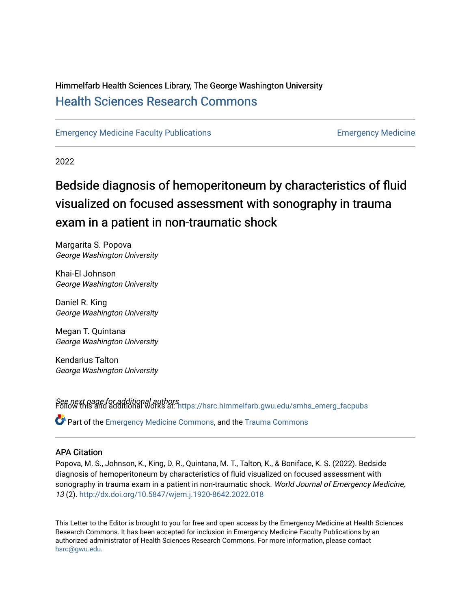## Himmelfarb Health Sciences Library, The George Washington University [Health Sciences Research Commons](https://hsrc.himmelfarb.gwu.edu/)

[Emergency Medicine Faculty Publications](https://hsrc.himmelfarb.gwu.edu/smhs_emerg_facpubs) [Emergency Medicine](https://hsrc.himmelfarb.gwu.edu/smhs_emerg) 

2022

## Bedside diagnosis of hemoperitoneum by characteristics of fluid visualized on focused assessment with sonography in trauma exam in a patient in non-traumatic shock

Margarita S. Popova George Washington University

Khai-El Johnson George Washington University

Daniel R. King George Washington University

Megan T. Quintana George Washington University

Kendarius Talton George Washington University

See next page for additional authors Follow this and additional works at: [https://hsrc.himmelfarb.gwu.edu/smhs\\_emerg\\_facpubs](https://hsrc.himmelfarb.gwu.edu/smhs_emerg_facpubs?utm_source=hsrc.himmelfarb.gwu.edu%2Fsmhs_emerg_facpubs%2F1128&utm_medium=PDF&utm_campaign=PDFCoverPages) 

Part of the [Emergency Medicine Commons](http://network.bepress.com/hgg/discipline/685?utm_source=hsrc.himmelfarb.gwu.edu%2Fsmhs_emerg_facpubs%2F1128&utm_medium=PDF&utm_campaign=PDFCoverPages), and the [Trauma Commons](http://network.bepress.com/hgg/discipline/1240?utm_source=hsrc.himmelfarb.gwu.edu%2Fsmhs_emerg_facpubs%2F1128&utm_medium=PDF&utm_campaign=PDFCoverPages) 

## APA Citation

Popova, M. S., Johnson, K., King, D. R., Quintana, M. T., Talton, K., & Boniface, K. S. (2022). Bedside diagnosis of hemoperitoneum by characteristics of fluid visualized on focused assessment with sonography in trauma exam in a patient in non-traumatic shock. World Journal of Emergency Medicine, 13 (2).<http://dx.doi.org/10.5847/wjem.j.1920-8642.2022.018>

This Letter to the Editor is brought to you for free and open access by the Emergency Medicine at Health Sciences Research Commons. It has been accepted for inclusion in Emergency Medicine Faculty Publications by an authorized administrator of Health Sciences Research Commons. For more information, please contact [hsrc@gwu.edu](mailto:hsrc@gwu.edu).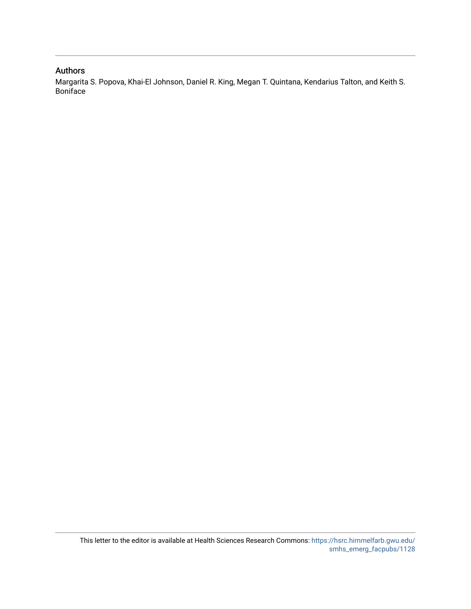## Authors

Margarita S. Popova, Khai-El Johnson, Daniel R. King, Megan T. Quintana, Kendarius Talton, and Keith S. Boniface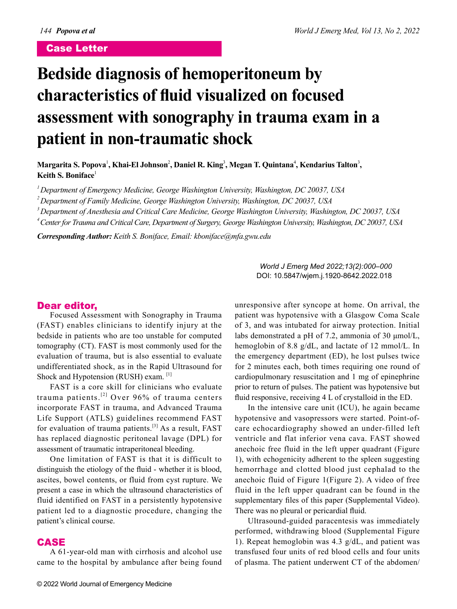## Case Letter

# **Bedside diagnosis of hemoperitoneum by characteristics of fluid visualized on focused assessment with sonography in trauma exam in a patient in non-traumatic shock**

Margarita S. Popova<sup>1</sup>, Khai-El Johnson<sup>2</sup>, Daniel R. King<sup>3</sup>, Megan T. Quintana<sup>4</sup>, Kendarius Talton<sup>3</sup>, **Keith S. Boniface**<sup>1</sup>

*1 Department of Emergency Medicine, George Washington University, Washington, DC 20037, USA*

*2 Department of Family Medicine, George Washington University, Washington, DC 20037, USA*

*3 Department of Anesthesia and Critical Care Medicine, George Washington University, Washington, DC 20037, USA*

*4 Center for Trauma and Critical Care, Department of Surgery, George Washington University, Washington, DC 20037, USA*

*Corresponding Author: Keith S. Boniface, Email: kboniface@mfa.gwu.edu*

*World J Emerg Med 2022;13(2):000–000* DOI: 10.5847/wjem.j.1920-8642.2022.018

Focused Assessment with Sonography in Trauma (FAST) enables clinicians to identify injury at the bedside in patients who are too unstable for computed tomography (CT). FAST is most commonly used for the evaluation of trauma, but is also essential to evaluate undifferentiated shock, as in the Rapid Ultrasound for Shock and Hypotension (RUSH) exam. [1]

FAST is a core skill for clinicians who evaluate trauma patients.[2] Over 96% of trauma centers incorporate FAST in trauma, and Advanced Trauma Life Support (ATLS) guidelines recommend FAST for evaluation of trauma patients.[3] As a result, FAST has replaced diagnostic peritoneal lavage (DPL) for assessment of traumatic intraperitoneal bleeding.

**Dear editor,**<br>Focused Asse<br>(FAST) enables<br>bedside in patient<br>tomography (CT).<br>evaluation of trau<br>undifferentiated s<br>Shock and Hypote<br>FAST is a co<br>trauma patients<br>incorporate FAS.<br>Life Support (AT<br>for evaluation of<br>has rep One limitation of FAST is that it is difficult to distinguish the etiology of the fluid - whether it is blood, ascites, bowel contents, or fluid from cyst rupture. We present a case in which the ultrasound characteristics of fluid identified on FAST in a persistently hypotensive patient led to a diagnostic procedure, changing the patient's clinical course.

## CASE

A 61-year-old man with cirrhosis and alcohol use came to the hospital by ambulance after being found unresponsive after syncope at home. On arrival, the patient was hypotensive with a Glasgow Coma Scale of 3, and was intubated for airway protection. Initial labs demonstrated a pH of 7.2, ammonia of 30 μmol/L, hemoglobin of 8.8 g/dL, and lactate of 12 mmol/L. In the emergency department (ED), he lost pulses twice for 2 minutes each, both times requiring one round of cardiopulmonary resuscitation and 1 mg of epinephrine prior to return of pulses. The patient was hypotensive but fluid responsive, receiving 4 L of crystalloid in the ED.

In the intensive care unit (ICU), he again became hypotensive and vasopressors were started. Point-ofcare echocardiography showed an under-filled left ventricle and flat inferior vena cava. FAST showed anechoic free fluid in the left upper quadrant (Figure 1), with echogenicity adherent to the spleen suggesting hemorrhage and clotted blood just cephalad to the anechoic fluid of Figure 1(Figure 2). A video of free fluid in the left upper quadrant can be found in the supplementary files of this paper (Supplemental Video). There was no pleural or pericardial fluid.

Ultrasound-guided paracentesis was immediately performed, withdrawing blood (Supplemental Figure 1). Repeat hemoglobin was 4.3 g/dL, and patient was transfused four units of red blood cells and four units of plasma. The patient underwent CT of the abdomen/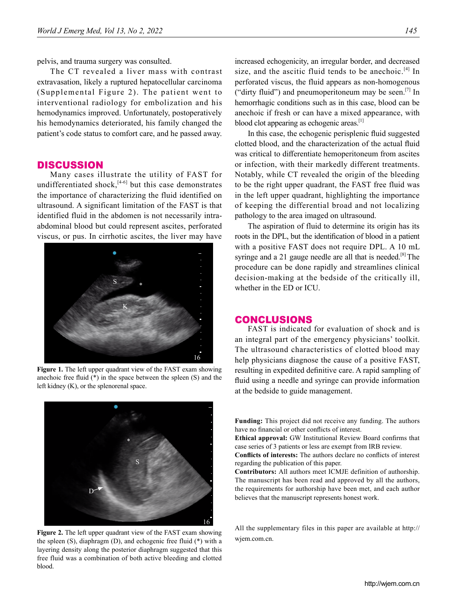pelvis, and trauma surgery was consulted.

The CT revealed a liver mass with contrast extravasation, likely a ruptured hepatocellular carcinoma (Supplemental Figure 2). The patient went to interventional radiology for embolization and his hemodynamics improved. Unfortunately, postoperatively his hemodynamics deteriorated, his family changed the patient's code status to comfort care, and he passed away.

## **DISCUSSION**

Many cases illustrate the utility of FAST for undifferentiated shock, $[4-6]$  but this case demonstrates the importance of characterizing the fluid identified on ultrasound. A significant limitation of the FAST is that identified fluid in the abdomen is not necessarily intraabdominal blood but could represent ascites, perforated viscus, or pus. In cirrhotic ascites, the liver may have



**Figure 1.** The left upper quadrant view of the FAST exam showing anechoic free fluid (\*) in the space between the spleen (S) and the left kidney (K), or the splenorenal space.



**Figure 2.** The left upper quadrant view of the FAST exam showing the spleen (S), diaphragm (D), and echogenic free fluid (\*) with a layering density along the posterior diaphragm suggested that this free fluid was a combination of both active bleeding and clotted blood.

increased echogenicity, an irregular border, and decreased size, and the ascitic fluid tends to be anechoic.<sup>[4]</sup> In perforated viscus, the fluid appears as non-homogenous ("dirty fluid") and pneumoperitoneum may be seen.<sup>[7]</sup> In hemorrhagic conditions such as in this case, blood can be anechoic if fresh or can have a mixed appearance, with blood clot appearing as echogenic areas.<sup>[1]</sup>

In this case, the echogenic perisplenic fluid suggested clotted blood, and the characterization of the actual fluid was critical to differentiate hemoperitoneum from ascites or infection, with their markedly different treatments. Notably, while CT revealed the origin of the bleeding to be the right upper quadrant, the FAST free fluid was in the left upper quadrant, highlighting the importance of keeping the differential broad and not localizing pathology to the area imaged on ultrasound.

The aspiration of fluid to determine its origin has its roots in the DPL, but the identification of blood in a patient with a positive FAST does not require DPL. A 10 mL syringe and a 21 gauge needle are all that is needed.<sup>[8]</sup> The procedure can be done rapidly and streamlines clinical decision-making at the bedside of the critically ill, whether in the ED or ICU.

## CONCLUSIONS

FAST is indicated for evaluation of shock and is an integral part of the emergency physicians' toolkit. The ultrasound characteristics of clotted blood may help physicians diagnose the cause of a positive FAST, resulting in expedited definitive care. A rapid sampling of fluid using a needle and syringe can provide information at the bedside to guide management.

**Funding:** This project did not receive any funding. The authors have no financial or other conflicts of interest.

**Ethical approval:** GW Institutional Review Board confirms that case series of 3 patients or less are exempt from IRB review.

**Conflicts of interests:** The authors declare no conflicts of interest regarding the publication of this paper.

**Contributors:** All authors meet ICMJE definition of authorship. The manuscript has been read and approved by all the authors, the requirements for authorship have been met, and each author believes that the manuscript represents honest work.

All the supplementary files in this paper are available at http:// wjem.com.cn.